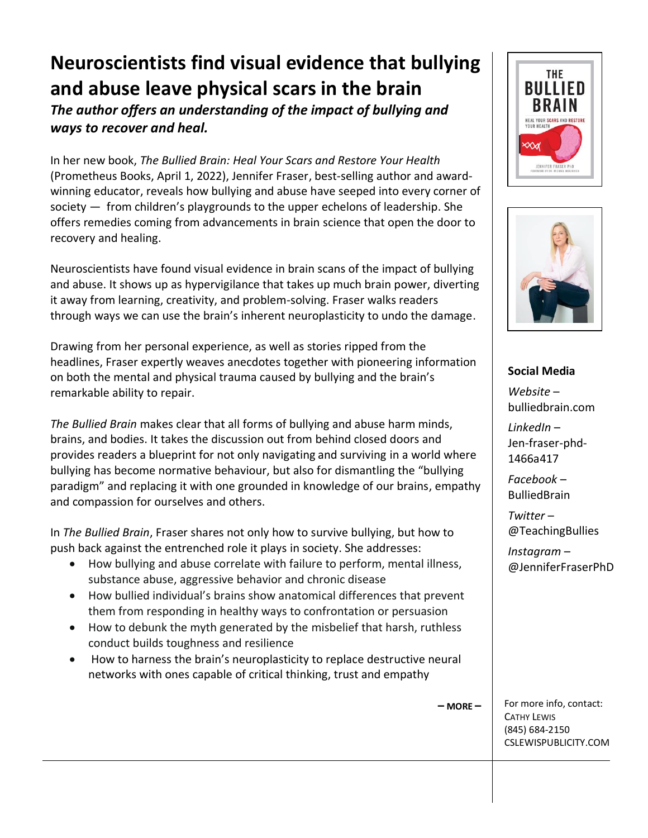## **Neuroscientists find visual evidence that bullying and abuse leave physical scars in the brain**

*The author offers an understanding of the impact of bullying and ways to recover and heal.*

In her new book, *The Bullied Brain: Heal Your Scars and Restore Your Health*  (Prometheus Books, April 1, 2022), Jennifer Fraser, best-selling author and awardwinning educator, reveals how bullying and abuse have seeped into every corner of society — from children's playgrounds to the upper echelons of leadership. She offers remedies coming from advancements in brain science that open the door to recovery and healing.

Neuroscientists have found visual evidence in brain scans of the impact of bullying and abuse. It shows up as hypervigilance that takes up much brain power, diverting it away from learning, creativity, and problem-solving. Fraser walks readers through ways we can use the brain's inherent neuroplasticity to undo the damage.

Drawing from her personal experience, as well as stories ripped from the headlines, Fraser expertly weaves anecdotes together with pioneering information on both the mental and physical trauma caused by bullying and the brain's remarkable ability to repair.

*The Bullied Brain* makes clear that all forms of bullying and abuse harm minds, brains, and bodies. It takes the discussion out from behind closed doors and provides readers a blueprint for not only navigating and surviving in a world where bullying has become normative behaviour, but also for dismantling the "bullying paradigm" and replacing it with one grounded in knowledge of our brains, empathy and compassion for ourselves and others.

In *The Bullied Brain*, Fraser shares not only how to survive bullying, but how to push back against the entrenched role it plays in society. She addresses:

- How bullying and abuse correlate with failure to perform, mental illness, substance abuse, aggressive behavior and chronic disease
- How bullied individual's brains show anatomical differences that prevent them from responding in healthy ways to confrontation or persuasion
- How to debunk the myth generated by the misbelief that harsh, ruthless conduct builds toughness and resilience
- How to harness the brain's neuroplasticity to replace destructive neural networks with ones capable of critical thinking, trust and empathy





## **Social Media**

*Website* – bulliedbrain.com

*LinkedIn* – Jen-fraser-phd-1466a417

*Facebook* – BulliedBrain

*Twitter* – @TeachingBullies

*Instagram* – @JenniferFraserPhD

**– MORE –**

For more info, contact: CATHY LEWIS (845) 684-2150 CSLEWISPUBLICITY.COM